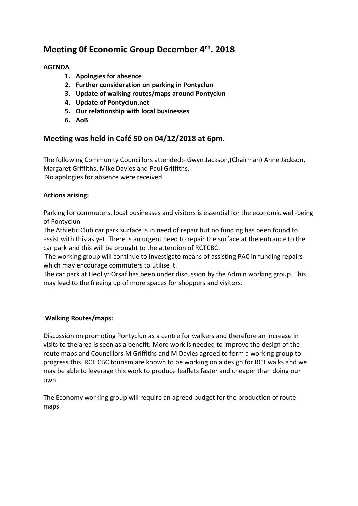# **Meeting 0f Economic Group December 4th . 2018**

# **AGENDA**

- **1. Apologies for absence**
- **2. Further consideration on parking in Pontyclun**
- **3. Update of walking routes/maps around Pontyclun**
- **4. Update of Pontyclun.net**
- **5. Our relationship with local businesses**
- **6. AoB**

# **Meeting was held in Café 50 on 04/12/2018 at 6pm.**

The following Community Councillors attended:- Gwyn Jackson,(Chairman) Anne Jackson, Margaret Griffiths, Mike Davies and Paul Griffiths. No apologies for absence were received.

# **Actions arising:**

Parking for commuters, local businesses and visitors is essential for the economic well-being of Pontyclun

The Athletic Club car park surface is in need of repair but no funding has been found to assist with this as yet. There is an urgent need to repair the surface at the entrance to the car park and this will be brought to the attention of RCTCBC.

The working group will continue to investigate means of assisting PAC in funding repairs which may encourage commuters to utilise it.

The car park at Heol yr Orsaf has been under discussion by the Admin working group. This may lead to the freeing up of more spaces for shoppers and visitors.

# **Walking Routes/maps:**

Discussion on promoting Pontyclun as a centre for walkers and therefore an increase in visits to the area is seen as a benefit. More work is needed to improve the design of the route maps and Councillors M Griffiths and M Davies agreed to form a working group to progress this. RCT CBC tourism are known to be working on a design for RCT walks and we may be able to leverage this work to produce leaflets faster and cheaper than doing our own.

The Economy working group will require an agreed budget for the production of route maps.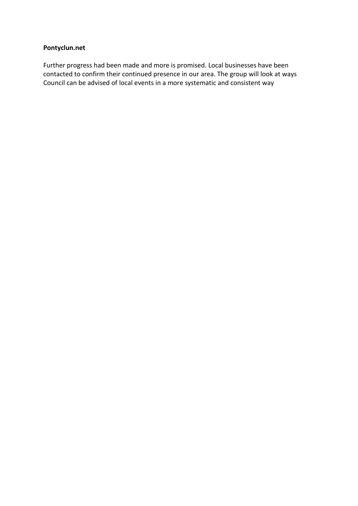#### **Pontyclun.net**

Further progress had been made and more is promised. Local businesses have been contacted to confirm their continued presence in our area. The group will look at ways Council can be advised of local events in a more systematic and consistent way